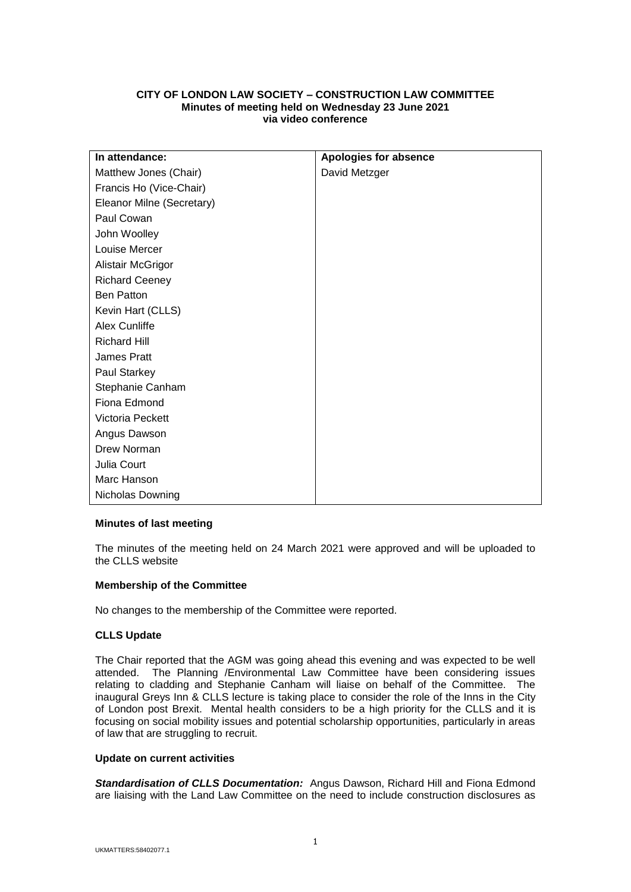# **CITY OF LONDON LAW SOCIETY – CONSTRUCTION LAW COMMITTEE Minutes of meeting held on Wednesday 23 June 2021 via video conference**

| In attendance:            | <b>Apologies for absence</b> |
|---------------------------|------------------------------|
| Matthew Jones (Chair)     | David Metzger                |
| Francis Ho (Vice-Chair)   |                              |
| Eleanor Milne (Secretary) |                              |
| Paul Cowan                |                              |
| John Woolley              |                              |
| Louise Mercer             |                              |
| Alistair McGrigor         |                              |
| <b>Richard Ceeney</b>     |                              |
| <b>Ben Patton</b>         |                              |
| Kevin Hart (CLLS)         |                              |
| Alex Cunliffe             |                              |
| <b>Richard Hill</b>       |                              |
| James Pratt               |                              |
| Paul Starkey              |                              |
| Stephanie Canham          |                              |
| Fiona Edmond              |                              |
| Victoria Peckett          |                              |
| Angus Dawson              |                              |
| Drew Norman               |                              |
| Julia Court               |                              |
| Marc Hanson               |                              |
| Nicholas Downing          |                              |

## **Minutes of last meeting**

The minutes of the meeting held on 24 March 2021 were approved and will be uploaded to the CLLS website

## **Membership of the Committee**

No changes to the membership of the Committee were reported.

## **CLLS Update**

The Chair reported that the AGM was going ahead this evening and was expected to be well attended. The Planning /Environmental Law Committee have been considering issues relating to cladding and Stephanie Canham will liaise on behalf of the Committee. The inaugural Greys Inn & CLLS lecture is taking place to consider the role of the Inns in the City of London post Brexit. Mental health considers to be a high priority for the CLLS and it is focusing on social mobility issues and potential scholarship opportunities, particularly in areas of law that are struggling to recruit.

## **Update on current activities**

*Standardisation of CLLS Documentation:* Angus Dawson, Richard Hill and Fiona Edmond are liaising with the Land Law Committee on the need to include construction disclosures as